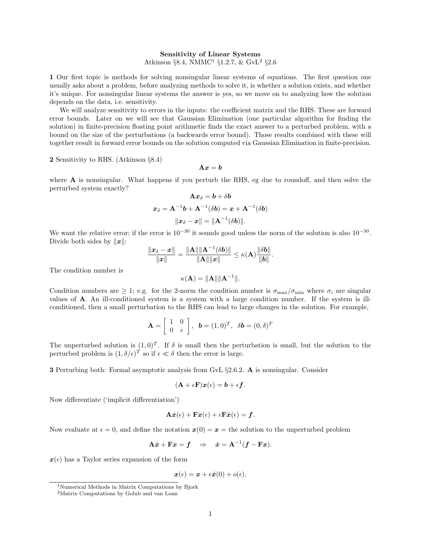## Sensitivity of Linear Systems

Atkinson  $\S 8.4$ , NMMC<sup>[1](#page-0-0)</sup>  $\S 1.2.7$  $\S 1.2.7$  $\S 1.2.7$ , & GvL<sup>2</sup>  $\S 2.6$ 

1 Our first topic is methods for solving nonsingular linear systems of equations. The first question one usually asks about a problem, before analyzing methods to solve it, is whether a solution exists, and whether it's unique. For nonsingular linear systems the answer is yes, so we move on to analyzing how the solution depends on the data, i.e. sensitivity.

We will analyze sensitivity to errors in the inputs: the coefficient matrix and the RHS. These are forward error bounds. Later on we will see that Gaussian Elimination (one particular algorithm for finding the solution) in finite-precision floating point arithmetic finds the exact answer to a perturbed problem, with a bound on the size of the perturbations (a backwards error bound). Those results combined with these will together result in forward error bounds on the solution computed via Gaussian Elimination in finite-precision.

2 Sensitivity to RHS. (Atkinson §8.4)

$$
\mathbf{A} \boldsymbol{x} = \boldsymbol{b}
$$

where  $\bf{A}$  is nonsingular. What happens if you perturb the RHS, eg due to roundoff, and then solve the perturbed system exactly?

$$
\mathbf{A} \boldsymbol{x}_{\delta} = \boldsymbol{b} + \delta \boldsymbol{b}
$$
\n
$$
\boldsymbol{x}_{\delta} = \mathbf{A}^{-1} \boldsymbol{b} + \mathbf{A}^{-1} (\delta \boldsymbol{b}) = \boldsymbol{x} + \mathbf{A}^{-1} (\delta \boldsymbol{b})
$$
\n
$$
\|\boldsymbol{x}_{\delta} - \boldsymbol{x}\| = \|\mathbf{A}^{-1} (\delta \boldsymbol{b})\|.
$$

We want the relative error; if the error is  $10^{-30}$  it sounds good unless the norm of the solution is also  $10^{-30}$ . Divide both sides by  $||x||$ :

$$
\frac{\|\bm{x}_{\delta}-\bm{x}\|}{\|\bm{x}\|} = \frac{\|\mathbf{A}\| \|\mathbf{A}^{-1}(\delta \bm{b})\|}{\|\mathbf{A}\|\|\bm{x}\|} \leq \kappa(\mathbf{A}) \frac{\|\delta \bm{b}\|}{\|\bm{b}\|}.
$$

The condition number is

$$
\kappa(\mathbf{A}) = \|\mathbf{A}\| \|\mathbf{A}^{-1}\|.
$$

Condition numbers are  $\geq 1$ ; e.g. for the 2-norm the condition number is  $\sigma_{\text{max}}/\sigma_{\text{min}}$  where  $\sigma_i$  are singular values of A. An ill-conditioned system is a system with a large condition number. If the system is illconditioned, then a small perturbation to the RHS can lead to large changes in the solution. For example,

$$
\mathbf{A} = \left[ \begin{array}{cc} 1 & 0 \\ 0 & \epsilon \end{array} \right], \quad \mathbf{b} = (1,0)^T, \quad \delta \mathbf{b} = (0,\delta)^T
$$

The unperturbed solution is  $(1, 0)^T$ . If  $\delta$  is small then the perturbation is small, but the solution to the perturbed problem is  $(1, \delta/\epsilon)^T$  so if  $\epsilon \ll \delta$  then the error is large.

3 Perturbing both: Formal asymptotic analysis from GvL §2.6.2. A is nonsingular. Consider

$$
(\mathbf{A} + \epsilon \mathbf{F})\mathbf{x}(\epsilon) = \mathbf{b} + \epsilon \mathbf{f}.
$$

Now differentiate ('implicit differentiation')

$$
\mathbf{A}\dot{\boldsymbol{x}}(\epsilon) + \mathbf{F}\boldsymbol{x}(\epsilon) + \epsilon \mathbf{F}\dot{\boldsymbol{x}}(\epsilon) = \boldsymbol{f}.
$$

Now evaluate at  $\epsilon = 0$ , and define the notation  $x(0) = x =$  the solution to the unperturbed problem

$$
\mathbf{A}\dot{x} + \mathbf{F}x = \mathbf{f} \quad \Rightarrow \quad \dot{x} = \mathbf{A}^{-1}(\mathbf{f} - \mathbf{F}x).
$$

 $x(\epsilon)$  has a Taylor series expansion of the form

 $x(\epsilon) = x + \epsilon \dot{x}(0) + o(\epsilon).$ 

<span id="page-0-0"></span><sup>1</sup>Numerical Methods in Matrix Computations by Bjork

<span id="page-0-1"></span><sup>2</sup>Matrix Computations by Golub and van Loan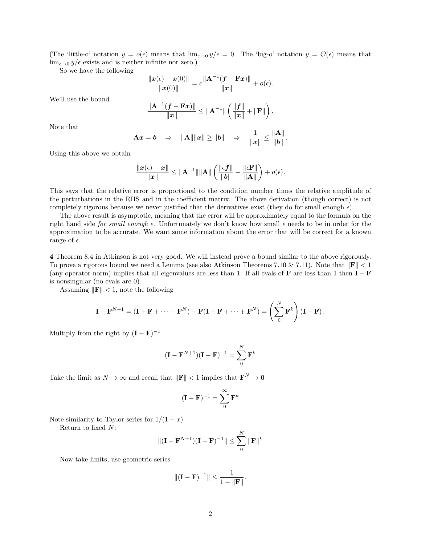(The 'little-o' notation  $y = o(\epsilon)$  means that  $\lim_{\epsilon \to 0} y/\epsilon = 0$ . The 'big-o' notation  $y = \mathcal{O}(\epsilon)$  means that  $\lim_{\epsilon \to 0} y/\epsilon$  exists and is neither infinite nor zero.)

So we have the following

$$
\frac{\|\pmb{x}(\epsilon) - \pmb{x}(0)\|}{\|\pmb{x}(0)\|} = \epsilon \frac{\|\mathbf{A}^{-1}(\pmb{f} - \mathbf{F}\pmb{x})\|}{\|\pmb{x}\|} + o(\epsilon).
$$
  

$$
\frac{\|\mathbf{A}^{-1}(\pmb{f} - \mathbf{F}\pmb{x})\|}{\|\pmb{x}\|} \le \|\mathbf{A}^{-1}\| \left(\frac{\|\pmb{f}\|}{\|\pmb{x}\|} + \|\mathbf{F}\|\right).
$$

Note that

We'll use the bound

$$
\mathbf{A}\boldsymbol{x} = \boldsymbol{b} \quad \Rightarrow \quad \|\mathbf{A}\| \|\boldsymbol{x}\| \ge \|\boldsymbol{b}\| \quad \Rightarrow \quad \frac{1}{\|\boldsymbol{x}\|} \le \frac{\|\mathbf{A}\|}{\|\boldsymbol{b}\|}.
$$

 $\overline{\left\| \bm{x} \right\|}$ 

Using this above we obtain

$$
\frac{\|\boldsymbol{x}(\epsilon)-\boldsymbol{x}\|}{\|\boldsymbol{x}\|}\leq \|\mathbf{A}^{-1}\|\|\mathbf{A}\|\left(\frac{\|\epsilon\boldsymbol{f}\|}{\|\boldsymbol{b}\|}+\frac{\|\epsilon\mathbf{F}\|}{\|\mathbf{A}\|}\right)+o(\epsilon).
$$

This says that the relative error is proportional to the condition number times the relative amplitude of the perturbations in the RHS and in the coefficient matrix. The above derivation (though correct) is not completely rigorous because we never justified that the derivatives exist (they do for small enough  $\epsilon$ ).

The above result is asymptotic, meaning that the error will be approximately equal to the formula on the right hand side for small enough  $\epsilon$ . Unfortunately we don't know how small  $\epsilon$  needs to be in order for the approximation to be accurate. We want some information about the error that will be correct for a known range of  $\epsilon$ .

4 Theorem 8.4 in Atkinson is not very good. We will instead prove a bound similar to the above rigorously. To prove a rigorous bound we need a Lemma (see also Atkinson Theorems 7.10 & 7.11). Note that  $\|\mathbf{F}\| < 1$ (any operator norm) implies that all eigenvalues are less than 1. If all evals of  $\bf{F}$  are less than 1 then  $\bf{I} - \bf{F}$ is nonsingular (no evals are 0).

Assuming  $\|\mathbf{F}\| < 1$ , note the following

$$
\mathbf{I} - \mathbf{F}^{N+1} = (\mathbf{I} + \mathbf{F} + \dots + \mathbf{F}^N) - \mathbf{F}(\mathbf{I} + \mathbf{F} + \dots + \mathbf{F}^N) = \left(\sum_{0}^{N} \mathbf{F}^k\right) (\mathbf{I} - \mathbf{F}).
$$

Multiply from the right by  $(I - F)^{-1}$ 

$$
(\mathbf{I} - \mathbf{F}^{N+1})(\mathbf{I} - \mathbf{F})^{-1} = \sum_{0}^{N} \mathbf{F}^{k}
$$

Take the limit as  $N \to \infty$  and recall that  $\|\mathbf{F}\| < 1$  implies that  $\mathbf{F}^N \to \mathbf{0}$ 

$$
(\mathbf{I} - \mathbf{F})^{-1} = \sum_{0}^{\infty} \mathbf{F}^{k}
$$

Note similarity to Taylor series for  $1/(1-x)$ .

Return to fixed  $N$ :

$$
\|({\bf I}-{\bf F}^{N+1})({\bf I}-{\bf F})^{-1}\|\leq \sum_0^N\|{\bf F}\|^k
$$

Now take limits, use geometric series

$$
\|({\bf I}-{\bf F})^{-1}\|\leq \frac{1}{1-\|{\bf F}\|}.
$$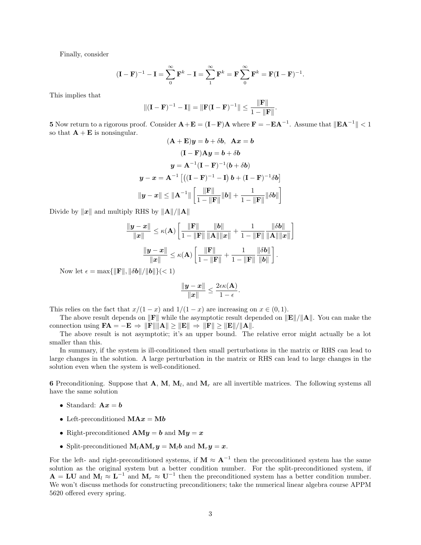Finally, consider

$$
(\mathbf{I} - \mathbf{F})^{-1} - \mathbf{I} = \sum_{0}^{\infty} \mathbf{F}^{k} - \mathbf{I} = \sum_{1}^{\infty} \mathbf{F}^{k} = \mathbf{F} \sum_{0}^{\infty} \mathbf{F}^{k} = \mathbf{F} (\mathbf{I} - \mathbf{F})^{-1}.
$$

This implies that

$$
||(I - F)^{-1} - I|| = ||F(I - F)^{-1}|| \le \frac{||F||}{1 - ||F||}.
$$

**5** Now return to a rigorous proof. Consider  $\mathbf{A} + \mathbf{E} = (\mathbf{I} - \mathbf{F})\mathbf{A}$  where  $\mathbf{F} = -\mathbf{E} \mathbf{A}^{-1}$ . Assume that  $\|\mathbf{E} \mathbf{A}^{-1}\| < 1$ so that  $\mathbf{A} + \mathbf{E}$  is nonsingular.

$$
(\mathbf{A} + \mathbf{E})\mathbf{y} = \mathbf{b} + \delta\mathbf{b}, \quad \mathbf{A}\mathbf{x} = \mathbf{b}
$$

$$
(\mathbf{I} - \mathbf{F})\mathbf{A}\mathbf{y} = \mathbf{b} + \delta\mathbf{b}
$$

$$
\mathbf{y} = \mathbf{A}^{-1}(\mathbf{I} - \mathbf{F})^{-1}(\mathbf{b} + \delta\mathbf{b})
$$

$$
\mathbf{y} - \mathbf{x} = \mathbf{A}^{-1} \left[ \left( (\mathbf{I} - \mathbf{F})^{-1} - \mathbf{I} \right) \mathbf{b} + (\mathbf{I} - \mathbf{F})^{-1} \delta\mathbf{b} \right]
$$

$$
\|\mathbf{y} - \mathbf{x}\| \le \|\mathbf{A}^{-1}\| \left[ \frac{\|\mathbf{F}\|}{1 - \|\mathbf{F}\|} \|\mathbf{b}\| + \frac{1}{1 - \|\mathbf{F}\|} \|\delta\mathbf{b}\| \right]
$$

Divide by  $\|\boldsymbol{x}\|$  and multiply RHS by  $\|\mathbf{A}\|/\|\mathbf{A}\|$ 

$$
\frac{\|\boldsymbol{y} - \boldsymbol{x}\|}{\|\boldsymbol{x}\|} \leq \kappa(\mathbf{A}) \left[ \frac{\|\mathbf{F}\|}{1 - \|\mathbf{F}\|} \frac{\|\boldsymbol{b}\|}{\|\mathbf{A}\| \|\boldsymbol{x}\|} + \frac{1}{1 - \|\mathbf{F}\|} \frac{\|\delta \boldsymbol{b}\|}{\|\mathbf{A}\| \|\boldsymbol{x}\|} \right]
$$

$$
\frac{\|\boldsymbol{y} - \boldsymbol{x}\|}{\|\boldsymbol{x}\|} \leq \kappa(\mathbf{A}) \left[ \frac{\|\mathbf{F}\|}{1 - \|\mathbf{F}\|} + \frac{1}{1 - \|\mathbf{F}\|} \frac{\|\delta \boldsymbol{b}\|}{\|\boldsymbol{b}\|} \right].
$$

Now let  $\epsilon = \max{\{\Vert \mathbf{F} \Vert, \Vert \delta \mathbf{b} \Vert / \Vert \mathbf{b} \Vert\}}$  (< 1)

$$
\frac{\|\bm{y}-\bm{x}\|}{\|\bm{x}\|} \leq \frac{2\epsilon \kappa(\mathbf{A})}{1-\epsilon}.
$$

This relies on the fact that  $x/(1-x)$  and  $1/(1-x)$  are increasing on  $x \in (0,1)$ .

The above result depends on  $\|\mathbf{F}\|$  while the asymptotic result depended on  $\|\mathbf{E}\|/\|\mathbf{A}\|$ . You can make the connection using  $FA = -E \Rightarrow ||F|| ||A|| \ge ||E|| \Rightarrow ||F|| \ge ||E||/||A||.$ 

The above result is not asymptotic; it's an upper bound. The relative error might actually be a lot smaller than this.

In summary, if the system is ill-conditioned then small perturbations in the matrix or RHS can lead to large changes in the solution. A large perturbation in the matrix or RHS can lead to large changes in the solution even when the system is well-conditioned.

6 Preconditioning. Suppose that  $A$ ,  $M$ ,  $M$ <sub>l</sub>, and  $M$ <sub>r</sub> are all invertible matrices. The following systems all have the same solution

- Standard:  $\mathbf{A}x = \mathbf{b}$
- Left-preconditioned  $\mathbf{M} \mathbf{A} \mathbf{x} = \mathbf{M} \mathbf{b}$
- Right-preconditioned  $AMy = b$  and  $My = x$
- Split-preconditioned  $M_lAM_ry = M_lb$  and  $M_ry = x$ .

For the left- and right-preconditioned systems, if  $M \approx A^{-1}$  then the preconditioned system has the same solution as the original system but a better condition number. For the split-preconditioned system, if  $A = LU$  and  $M_l \approx L^{-1}$  and  $M_r \approx U^{-1}$  then the preconditioned system has a better condition number. We won't discuss methods for constructing preconditioners; take the numerical linear algebra course APPM 5620 offered every spring.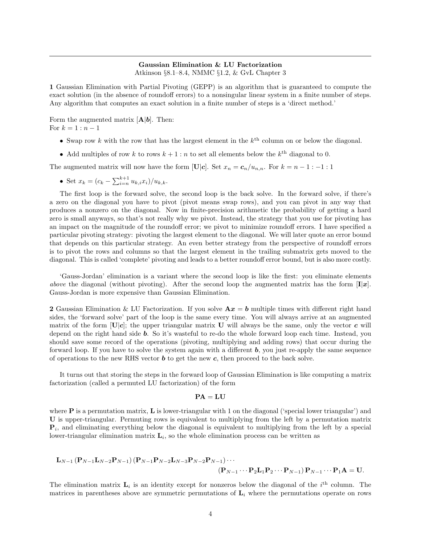# Gaussian Elimination & LU Factorization

Atkinson §8.1–8.4, NMMC §1.2, & GvL Chapter 3

1 Gaussian Elimination with Partial Pivoting (GEPP) is an algorithm that is guaranteed to compute the exact solution (in the absence of roundoff errors) to a nonsingular linear system in a finite number of steps. Any algorithm that computes an exact solution in a finite number of steps is a 'direct method.'

Form the augmented matrix  $[A|b]$ . Then: For  $k = 1 : n - 1$ 

- Swap row k with the row that has the largest element in the  $k^{\text{th}}$  column on or below the diagonal.
- Add multiples of row k to rows  $k + 1$ : n to set all elements below the  $k^{\text{th}}$  diagonal to 0.

The augmented matrix will now have the form [U|c]. Set  $x_n = c_n/u_{n,n}$ . For  $k = n - 1 : -1 : 1$ 

• Set  $x_k = (c_k - \sum_{i=n}^{k+1} u_{k,i} x_i)/u_{k,k}$ .

The first loop is the forward solve, the second loop is the back solve. In the forward solve, if there's a zero on the diagonal you have to pivot (pivot means swap rows), and you can pivot in any way that produces a nonzero on the diagonal. Now in finite-precision arithmetic the probability of getting a hard zero is small anyways, so that's not really why we pivot. Instead, the strategy that you use for pivoting has an impact on the magnitude of the roundoff error; we pivot to minimize roundoff errors. I have specified a particular pivoting strategy: pivoting the largest element to the diagonal. We will later quote an error bound that depends on this particular strategy. An even better strategy from the perspective of roundoff errors is to pivot the rows and columns so that the largest element in the trailing submatrix gets moved to the diagonal. This is called 'complete' pivoting and leads to a better roundoff error bound, but is also more costly.

'Gauss-Jordan' elimination is a variant where the second loop is like the first: you eliminate elements *above* the diagonal (without pivoting). After the second loop the augmented matrix has the form  $[I|x]$ . Gauss-Jordan is more expensive than Gaussian Elimination.

**2** Gaussian Elimination & LU Factorization. If you solve  $Ax = b$  multiple times with different right hand sides, the 'forward solve' part of the loop is the same every time. You will always arrive at an augmented matrix of the form  $[\mathbf{U}|\mathbf{c}]$ ; the upper triangular matrix U will always be the same, only the vector c will depend on the right hand side b. So it's wasteful to re-do the whole forward loop each time. Instead, you should save some record of the operations (pivoting, multiplying and adding rows) that occur during the forward loop. If you have to solve the system again with a different  $\boldsymbol{b}$ , you just re-apply the same sequence of operations to the new RHS vector  $\boldsymbol{b}$  to get the new  $\boldsymbol{c}$ , then proceed to the back solve.

It turns out that storing the steps in the forward loop of Gaussian Elimination is like computing a matrix factorization (called a permuted LU factorization) of the form

$$
\mathbf{PA} = \mathbf{LU}
$$

where  $P$  is a permutation matrix,  $L$  is lower-triangular with 1 on the diagonal ('special lower triangular') and U is upper-triangular. Permuting rows is equivalent to multiplying from the left by a permutation matrix  $P_i$ , and eliminating everything below the diagonal is equivalent to multiplying from the left by a special lower-triangular elimination matrix  $\mathbf{L}_i$ , so the whole elimination process can be written as

$$
\mathbf{L}_{N-1}(\mathbf{P}_{N-1}\mathbf{L}_{N-2}\mathbf{P}_{N-1})(\mathbf{P}_{N-1}\mathbf{P}_{N-2}\mathbf{L}_{N-3}\mathbf{P}_{N-2}\mathbf{P}_{N-1})\cdots \n(\mathbf{P}_{N-1}\cdots\mathbf{P}_{2}\mathbf{L}_{1}\mathbf{P}_{2}\cdots\mathbf{P}_{N-1})\mathbf{P}_{N-1}\cdots\mathbf{P}_{1}\mathbf{A}=\mathbf{U}.
$$

The elimination matrix  $\mathbf{L}_i$  is an identity except for nonzeros below the diagonal of the  $i^{\text{th}}$  column. The matrices in parentheses above are symmetric permutations of  $L_i$  where the permutations operate on rows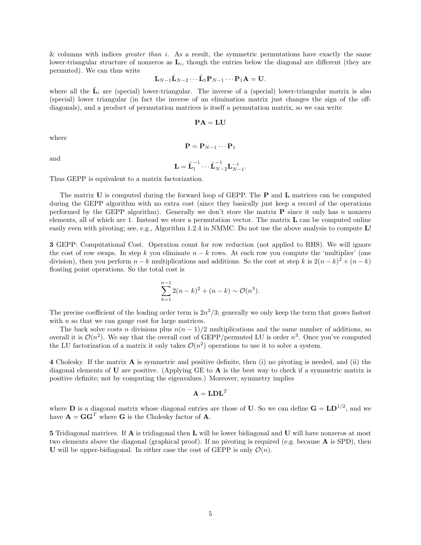& columns with indices *greater than i.* As a result, the symmetric permutations have exactly the same lower-triangular structure of nonzeros as  $\mathbf{L}_i$ , though the entries below the diagonal are different (they are permuted). We can thus write

$$
\mathbf{L}_{N-1}\tilde{\mathbf{L}}_{N-2}\cdots\tilde{\mathbf{L}}_1\mathbf{P}_{N-1}\cdots\mathbf{P}_1\mathbf{A}=\mathbf{U}.
$$

where all the  $\tilde{\mathbf{L}}_i$  are (special) lower-triangular. The inverse of a (special) lower-triangular matrix is also (special) lower triangular (in fact the inverse of an elimination matrix just changes the sign of the offdiagonals), and a product of permutation matrices is itself a permutation matrix, so we can write

$$
\mathbf{PA} = \mathbf{LU}
$$

where

and

 $\mathbf{P} = \mathbf{P}_{N-1} \cdots \mathbf{P}_1$ 

$$
\mathbf{L} = \tilde{\mathbf{L}}_1^{-1} \cdots \tilde{\mathbf{L}}_{N-2}^{-1} \mathbf{L}_{N-1}^{-1}
$$

.

Thus GEPP is equivalent to a matrix factorization.

The matrix U is computed during the forward loop of GEPP. The **P** and **L** matrices can be computed during the GEPP algorithm with no extra cost (since they basically just keep a record of the operations performed by the GEPP algorithm). Generally we don't store the matrix  $P$  since it only has n nonzero elements, all of which are 1. Instead we store a permutation vector. The matrix  $\bf{L}$  can be computed online easily even with pivoting; see, e.g., Algorithm 1.2.4 in NMMC. Do not use the above analysis to compute L!

3 GEPP: Computational Cost. Operation count for row reduction (not applied to RHS). We will ignore the cost of row swaps. In step k you eliminate  $n - k$  rows. At each row you compute the 'multiplier' (one division), then you perform  $n - k$  multiplications and additions. So the cost at step k is  $2(n - k)^2 + (n - k)$ floating point operations. So the total cost is

$$
\sum_{k=1}^{n-1} 2(n-k)^2 + (n-k) \sim \mathcal{O}(n^3).
$$

The precise coefficient of the leading order term is  $2n^3/3$ ; generally we only keep the term that grows fastest with  $n$  so that we can gauge cost for large matrices.

The back solve costs n divisions plus  $n(n - 1)/2$  multiplications and the same number of additions, so overall it is  $\mathcal{O}(n^2)$ . We say that the overall cost of GEPP/permuted LU is order  $n^3$ . Once you've computed the LU factorization of a matrix it only takes  $\mathcal{O}(n^2)$  operations to use it to solve a system.

4 Cholesky. If the matrix A is symmetric and positive definite, then (i) no pivoting is needed, and (ii) the diagonal elements of U are positive. (Applying GE to  $\bf{A}$  is the best way to check if a symmetric matrix is positive definite; not by computing the eigenvalues.) Moreover, symmetry implies

$$
\mathbf{A} = \mathbf{LDL}^T
$$

where **D** is a diagonal matrix whose diagonal entries are those of **U**. So we can define  $G = L D^{1/2}$ , and we have  $\mathbf{A} = \mathbf{G}\mathbf{G}^T$  where  $\mathbf{G}$  is the Cholesky factor of  $\mathbf{A}$ .

5 Tridiagonal matrices. If A is tridiagonal then L will be lower bidiagonal and U will have nonzeros at most two elements above the diagonal (graphical proof). If no pivoting is required (e.g. because  $\bf{A}$  is SPD), then U will be upper-bidiagonal. In either case the cost of GEPP is only  $\mathcal{O}(n)$ .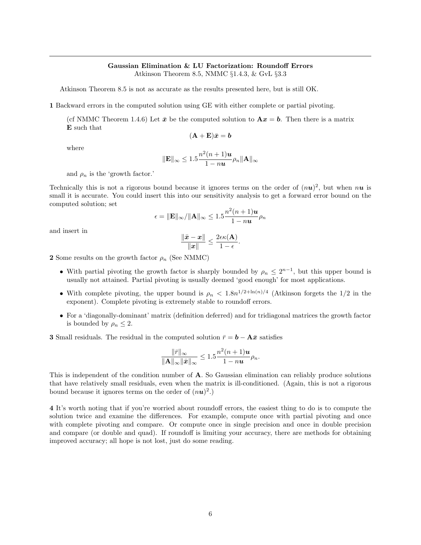### Gaussian Elimination & LU Factorization: Roundoff Errors Atkinson Theorem 8.5, NMMC §1.4.3, & GvL §3.3

Atkinson Theorem 8.5 is not as accurate as the results presented here, but is still OK.

1 Backward errors in the computed solution using GE with either complete or partial pivoting.

(cf NMMC Theorem 1.4.6) Let  $\bar{x}$  be the computed solution to  $Ax = b$ . Then there is a matrix E such that

$$
(\mathbf{A} + \mathbf{E})\bar{x} = \mathbf{b}
$$

where

$$
\|\mathbf{E}\|_{\infty} \leq 1.5 \frac{n^2(n+1)\mathbf{u}}{1-n\mathbf{u}}\rho_n \|\mathbf{A}\|_{\infty}
$$

and  $\rho_n$  is the 'growth factor.'

Technically this is not a rigorous bound because it ignores terms on the order of  $(nu)^2$ , but when  $nu$  is small it is accurate. You could insert this into our sensitivity analysis to get a forward error bound on the computed solution; set

$$
\epsilon = \|\mathbf{E}\|_{\infty} / \|\mathbf{A}\|_{\infty} \leq 1.5 \frac{n^2(n+1)u}{1 - nu} \rho_n
$$

and insert in

$$
\frac{\|\bar{\pmb{x}}-\pmb{x}\|}{\|\pmb{x}\|} \leq \frac{2\epsilon\kappa(\mathbf{A})}{1-\epsilon}.
$$

2 Some results on the growth factor  $\rho_n$  (See NMMC)

- With partial pivoting the growth factor is sharply bounded by  $\rho_n \leq 2^{n-1}$ , but this upper bound is usually not attained. Partial pivoting is usually deemed 'good enough' for most applications.
- With complete pivoting, the upper bound is  $\rho_n < 1.8n^{1/2 + \ln(n)/4}$  (Atkinson forgets the 1/2 in the exponent). Complete pivoting is extremely stable to roundoff errors.
- For a 'diagonally-dominant' matrix (definition deferred) and for tridiagonal matrices the growth factor is bounded by  $\rho_n \leq 2$ .

**3** Small residuals. The residual in the computed solution  $\bar{r} = \mathbf{b} - \mathbf{A}\bar{x}$  satisfies

$$
\frac{\|\bar{r}\|_{\infty}}{\|\mathbf{A}\|_{\infty}\|\bar{x}\|_{\infty}} \leq 1.5 \frac{n^2(n+1)\mathbf{u}}{1-n\mathbf{u}} \rho_n.
$$

This is independent of the condition number of A. So Gaussian elimination can reliably produce solutions that have relatively small residuals, even when the matrix is ill-conditioned. (Again, this is not a rigorous bound because it ignores terms on the order of  $(nu)^2$ .)

4 It's worth noting that if you're worried about roundoff errors, the easiest thing to do is to compute the solution twice and examine the differences. For example, compute once with partial pivoting and once with complete pivoting and compare. Or compute once in single precision and once in double precision and compare (or double and quad). If roundoff is limiting your accuracy, there are methods for obtaining improved accuracy; all hope is not lost, just do some reading.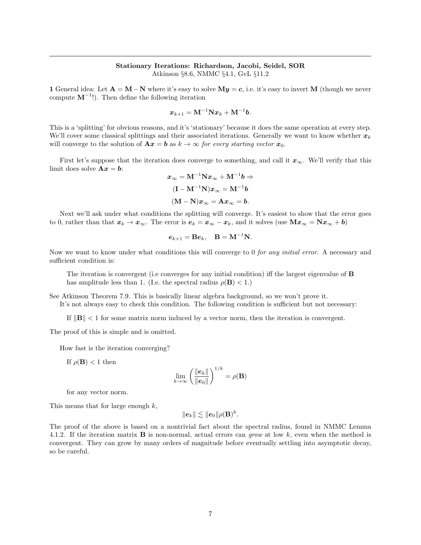## Stationary Iterations: Richardson, Jacobi, Seidel, SOR Atkinson §8.6, NMMC §4.1, GvL §11.2

1 General idea: Let  $A = M - N$  where it's easy to solve  $My = c$ , i.e. it's easy to invert M (though we never compute  $M^{-1}$ . Then define the following iteration

$$
\boldsymbol{x}_{k+1} = \mathbf{M}^{-1}\mathbf{N}\boldsymbol{x}_k + \mathbf{M}^{-1}\boldsymbol{b}.
$$

This is a 'splitting' for obvious reasons, and it's 'stationary' because it does the same operation at every step. We'll cover some classical splittings and their associated iterations. Generally we want to know whether  $x_k$ will converge to the solution of  $\mathbf{A}x = \mathbf{b}$  as  $k \to \infty$  for every starting vector  $x_0$ .

First let's suppose that the iteration does converge to something, and call it  $x_{\infty}$ . We'll verify that this limit does solve  $\mathbf{A} \mathbf{x} = \mathbf{b}$ :

$$
x_{\infty} = M^{-1} N x_{\infty} + M^{-1} b \Rightarrow
$$

$$
(I - M^{-1} N) x_{\infty} = M^{-1} b
$$

$$
(M - N) x_{\infty} = A x_{\infty} = b.
$$

Next we'll ask under what conditions the splitting will converge. It's easiest to show that the error goes to 0, rather than that  $x_k \to x_\infty$ . The error is  $e_k = x_\infty - x_k$ , and it solves (use  $Mx_\infty = Nx_\infty + b$ )

$$
\boldsymbol{e}_{k+1}=\mathbf{B}\boldsymbol{e}_k,\quad \mathbf{B}=\mathbf{M}^{-1}\mathbf{N}.
$$

Now we want to know under what conditions this will converge to 0 for any initial error. A necessary and sufficient condition is:

The iteration is convergent (i.e converges for any initial condition) iff the largest eigenvalue of **B** has amplitude less than 1. (I.e. the spectral radius  $\rho(\mathbf{B}) < 1$ .)

See Atkinson Theorem 7.9. This is basically linear algebra background, so we won't prove it. It's not always easy to check this condition. The following condition is sufficient but not necessary:

If  $\|\mathbf{B}\| < 1$  for some matrix norm induced by a vector norm, then the iteration is convergent.

The proof of this is simple and is omitted.

How fast is the iteration converging?

If  $\rho(\mathbf{B}) < 1$  then

$$
\lim_{k \to \infty} \left( \frac{\|e_k\|}{\|e_0\|} \right)^{1/k} = \rho(\mathbf{B})
$$

for any vector norm.

This means that for large enough k,

$$
\|\boldsymbol e_k\|\lesssim \|\boldsymbol e_0\|\rho(\mathbf{B})^k.
$$

The proof of the above is based on a nontrivial fact about the spectral radius, found in NMMC Lemma 4.1.2. If the iteration matrix **B** is non-normal, actual errors can grow at low  $k$ , even when the method is convergent. They can grow by many orders of magnitude before eventually settling into asymptotic decay, so be careful.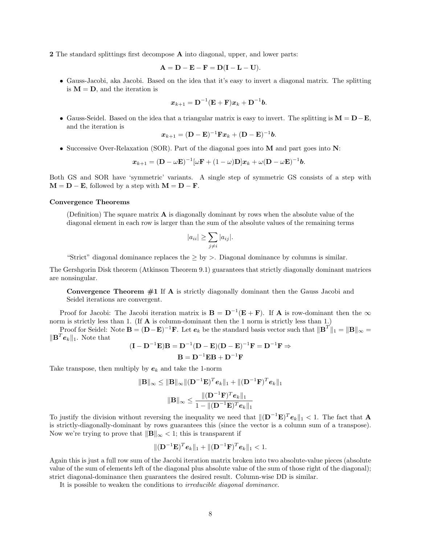2 The standard splittings first decompose A into diagonal, upper, and lower parts:

$$
\mathbf{A} = \mathbf{D} - \mathbf{E} - \mathbf{F} = \mathbf{D}(\mathbf{I} - \mathbf{L} - \mathbf{U}).
$$

• Gauss-Jacobi, aka Jacobi. Based on the idea that it's easy to invert a diagonal matrix. The splitting is  $M = D$ , and the iteration is

$$
\boldsymbol{x}_{k+1}=\mathbf{D}^{-1}(\mathbf{E}+\mathbf{F})\boldsymbol{x}_k+\mathbf{D}^{-1}\boldsymbol{b}.
$$

• Gauss-Seidel. Based on the idea that a triangular matrix is easy to invert. The splitting is  $M = D - E$ . and the iteration is

$$
\boldsymbol{x}_{k+1} = (\mathbf{D} - \mathbf{E})^{-1} \mathbf{F} \boldsymbol{x}_k + (\mathbf{D} - \mathbf{E})^{-1} \boldsymbol{b}.
$$

• Successive Over-Relaxation (SOR). Part of the diagonal goes into M and part goes into N:

$$
\boldsymbol{x}_{k+1} = (\mathbf{D} - \omega \mathbf{E})^{-1} [\omega \mathbf{F} + (1 - \omega) \mathbf{D}] \boldsymbol{x}_k + \omega (\mathbf{D} - \omega \mathbf{E})^{-1} \boldsymbol{b}.
$$

Both GS and SOR have 'symmetric' variants. A single step of symmetric GS consists of a step with  $M = D - E$ , followed by a step with  $M = D - F$ .

#### Convergence Theorems

(Definition) The square matrix  $\bf{A}$  is diagonally dominant by rows when the absolute value of the diagonal element in each row is larger than the sum of the absolute values of the remaining terms

$$
|a_{ii}| \ge \sum_{j \ne i} |a_{ij}|.
$$

"Strict" diagonal dominance replaces the  $\geq$  by  $>$ . Diagonal dominance by columns is similar.

The Gershgorin Disk theorem (Atkinson Theorem 9.1) guarantees that strictly diagonally dominant matrices are nonsingular.

Convergence Theorem  $#1$  If A is strictly diagonally dominant then the Gauss Jacobi and Seidel iterations are convergent.

Proof for Jacobi: The Jacobi iteration matrix is  $\mathbf{B} = \mathbf{D}^{-1}(\mathbf{E} + \mathbf{F})$ . If **A** is row-dominant then the  $\infty$ norm is strictly less than 1. (If **A** is column-dominant then the 1 norm is strictly less than 1.)

Proof for Seidel: Note  $\mathbf{B} = (\mathbf{D} - \mathbf{E})^{-1} \mathbf{F}$ . Let  $e_k$  be the standard basis vector such that  $\|\mathbf{B}^T\|_1 = \|\mathbf{B}\|_{\infty} =$  $\|\mathbf{B}^T\boldsymbol{e}_k\|_1$ . Note that

$$
(\mathbf{I} - \mathbf{D}^{-1}\mathbf{E})\mathbf{B} = \mathbf{D}^{-1}(\mathbf{D} - \mathbf{E})(\mathbf{D} - \mathbf{E})^{-1}\mathbf{F} = \mathbf{D}^{-1}\mathbf{F} \Rightarrow
$$

$$
\mathbf{B} = \mathbf{D}^{-1}\mathbf{E}\mathbf{B} + \mathbf{D}^{-1}\mathbf{F}
$$

Take transpose, then multiply by  $e_k$  and take the 1-norm

$$
\|\mathbf{B}\|_{\infty} \leq \|\mathbf{B}\|_{\infty} \|(\mathbf{D}^{-1}\mathbf{E})^T \mathbf{e}_k\|_1 + \|(\mathbf{D}^{-1}\mathbf{F})^T \mathbf{e}_k\|_1
$$

$$
\|\mathbf{B}\|_{\infty} \leq \frac{\|(\mathbf{D}^{-1}\mathbf{F})^T \mathbf{e}_k\|_1}{1 - \|(\mathbf{D}^{-1}\mathbf{E})^T \mathbf{e}_k\|_1}
$$

To justify the division without reversing the inequality we need that  $\|(\mathbf{D}^{-1}\mathbf{E})^T \mathbf{e}_k\|_1 < 1$ . The fact that **A** is strictly-diagonally-dominant by rows guarantees this (since the vector is a column sum of a transpose). Now we're trying to prove that  $\|\mathbf{B}\|_{\infty} < 1$ ; this is transparent if

$$
\|(\mathbf{D}^{-1}\mathbf{E})^T \mathbf{e}_k\|_1 + \|(\mathbf{D}^{-1}\mathbf{F})^T \mathbf{e}_k\|_1 < 1.
$$

Again this is just a full row sum of the Jacobi iteration matrix broken into two absolute-value pieces (absolute value of the sum of elements left of the diagonal plus absolute value of the sum of those right of the diagonal); strict diagonal-dominance then guarantees the desired result. Column-wise DD is similar.

It is possible to weaken the conditions to irreducible diagonal dominance.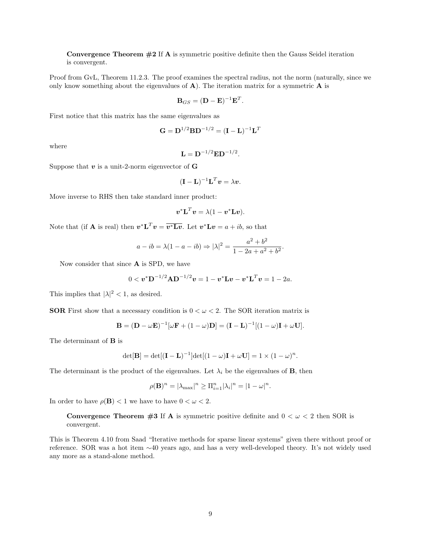Convergence Theorem  $#2$  If A is symmetric positive definite then the Gauss Seidel iteration is convergent.

Proof from GvL, Theorem 11.2.3. The proof examines the spectral radius, not the norm (naturally, since we only know something about the eigenvalues of  $A$ ). The iteration matrix for a symmetric  $A$  is

$$
\mathbf{B}_{GS} = (\mathbf{D} - \mathbf{E})^{-1} \mathbf{E}^T.
$$

First notice that this matrix has the same eigenvalues as

$$
\mathbf{G} = \mathbf{D}^{1/2} \mathbf{B} \mathbf{D}^{-1/2} = (\mathbf{I} - \mathbf{L})^{-1} \mathbf{L}^T
$$

where

$$
\mathbf{L} = \mathbf{D}^{-1/2} \mathbf{E} \mathbf{D}^{-1/2}.
$$

Suppose that  $v$  is a unit-2-norm eigenvector of  $G$ 

$$
(\mathbf{I} - \mathbf{L})^{-1} \mathbf{L}^T \mathbf{v} = \lambda \mathbf{v}.
$$

Move inverse to RHS then take standard inner product:

$$
\boldsymbol{v}^* \mathbf{L}^T \boldsymbol{v} = \lambda (1 - \boldsymbol{v}^* \mathbf{L} \boldsymbol{v}).
$$

Note that (if **A** is real) then  $\mathbf{v}^* \mathbf{L}^T \mathbf{v} = \overline{\mathbf{v}^* \mathbf{L} \mathbf{v}}$ . Let  $\mathbf{v}^* \mathbf{L} \mathbf{v} = a + ib$ , so that

$$
a - ib = \lambda(1 - a - ib) \Rightarrow |\lambda|^2 = \frac{a^2 + b^2}{1 - 2a + a^2 + b^2}.
$$

Now consider that since A is SPD, we have

$$
0 < v^* D^{-1/2} A D^{-1/2} v = 1 - v^* L v - v^* L^T v = 1 - 2a.
$$

This implies that  $|\lambda|^2 < 1$ , as desired.

**SOR** First show that a necessary condition is  $0 < \omega < 2$ . The SOR iteration matrix is

$$
\mathbf{B} = (\mathbf{D} - \omega \mathbf{E})^{-1} [\omega \mathbf{F} + (1 - \omega) \mathbf{D}] = (\mathbf{I} - \mathbf{L})^{-1} [(1 - \omega) \mathbf{I} + \omega \mathbf{U}].
$$

The determinant of B is

$$
\det[\mathbf{B}] = \det[(\mathbf{I} - \mathbf{L})^{-1}] \det[(1 - \omega)\mathbf{I} + \omega \mathbf{U}] = 1 \times (1 - \omega)^n.
$$

The determinant is the product of the eigenvalues. Let  $\lambda_i$  be the eigenvalues of **B**, then

$$
\rho(\mathbf{B})^n = |\lambda_{\max}|^n \ge \Pi_{i=1}^n |\lambda_i|^n = |1 - \omega|^n.
$$

In order to have  $\rho(\mathbf{B}) < 1$  we have to have  $0 < \omega < 2$ .

**Convergence Theorem #3 If A** is symmetric positive definite and  $0 < \omega < 2$  then SOR is convergent.

This is Theorem 4.10 from Saad "Iterative methods for sparse linear systems" given there without proof or reference. SOR was a hot item ∼40 years ago, and has a very well-developed theory. It's not widely used any more as a stand-alone method.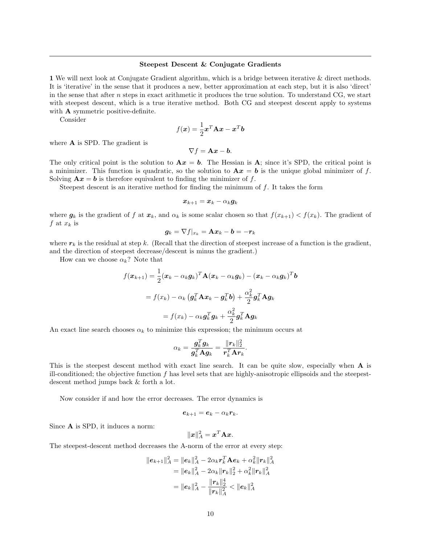#### Steepest Descent & Conjugate Gradients

1 We will next look at Conjugate Gradient algorithm, which is a bridge between iterative & direct methods. It is 'iterative' in the sense that it produces a new, better approximation at each step, but it is also 'direct' in the sense that after n steps in exact arithmetic it produces the true solution. To understand CG, we start with steepest descent, which is a true iterative method. Both CG and steepest descent apply to systems with **A** symmetric positive-definite.

Consider

$$
f(\boldsymbol{x}) = \frac{1}{2}\boldsymbol{x}^T \mathbf{A} \boldsymbol{x} - \boldsymbol{x}^T \boldsymbol{b}
$$

where **A** is SPD. The gradient is

$$
\nabla f = \mathbf{A}\boldsymbol{x} - \boldsymbol{b}.
$$

The only critical point is the solution to  $Ax = b$ . The Hessian is A; since it's SPD, the critical point is a minimizer. This function is quadratic, so the solution to  $A x = b$  is the unique global minimizer of f. Solving  $\mathbf{A}x = \mathbf{b}$  is therefore equivalent to finding the minimizer of f.

Steepest descent is an iterative method for finding the minimum of f. It takes the form

$$
\boldsymbol{x}_{k+1} = \boldsymbol{x}_k - \alpha_k \boldsymbol{g}_k
$$

where  $g_k$  is the gradient of f at  $x_k$ , and  $\alpha_k$  is some scalar chosen so that  $f(x_{k+1}) < f(x_k)$ . The gradient of f at  $x_k$  is

$$
\boldsymbol{g}_k = \nabla f|_{x_k} = \mathbf{A}\boldsymbol{x}_k - \boldsymbol{b} = -\boldsymbol{r}_k
$$

where  $r_k$  is the residual at step k. (Recall that the direction of steepest increase of a function is the gradient, and the direction of steepest decrease/descent is minus the gradient.)

How can we choose  $\alpha_k$ ? Note that

$$
f(\boldsymbol{x}_{k+1}) = \frac{1}{2}(\boldsymbol{x}_k - \alpha_k \boldsymbol{g}_k)^T \mathbf{A}(\boldsymbol{x}_k - \alpha_k \boldsymbol{g}_k) - (\boldsymbol{x}_k - \alpha_k \boldsymbol{g}_k)^T \boldsymbol{b}
$$
  
=  $f(\boldsymbol{x}_k) - \alpha_k (\boldsymbol{g}_k^T \mathbf{A} \boldsymbol{x}_k - \boldsymbol{g}_k^T \boldsymbol{b}) + \frac{\alpha_k^2}{2} \boldsymbol{g}_k^T \mathbf{A} \boldsymbol{g}_k$   
=  $f(\boldsymbol{x}_k) - \alpha_k \boldsymbol{g}_k^T \boldsymbol{g}_k + \frac{\alpha_k^2}{2} \boldsymbol{g}_k^T \mathbf{A} \boldsymbol{g}_k$ 

An exact line search chooses  $\alpha_k$  to minimize this expression; the minimum occurs at

$$
\alpha_k = \frac{\boldsymbol{g}_k^T \boldsymbol{g}_k}{\boldsymbol{g}_k^T \mathbf{A} \boldsymbol{g}_k} = \frac{\|\boldsymbol{r}_k\|_2^2}{\boldsymbol{r}_k^T \mathbf{A} \boldsymbol{r}_k}.
$$

This is the steepest descent method with exact line search. It can be quite slow, especially when A is ill-conditioned; the objective function  $f$  has level sets that are highly-anisotropic ellipsoids and the steepestdescent method jumps back & forth a lot.

Now consider if and how the error decreases. The error dynamics is

$$
e_{k+1}=e_k-\alpha_kr_k.
$$

Since A is SPD, it induces a norm:

$$
\|\boldsymbol{x}\|_A^2 = \boldsymbol{x}^T \mathbf{A} \boldsymbol{x}.
$$

The steepest-descent method decreases the A-norm of the error at every step:

$$
||e_{k+1}||_A^2 = ||e_k||_A^2 - 2\alpha_k r_k^T \mathbf{A} e_k + \alpha_k^2 ||r_k||_A^2
$$
  
=  $||e_k||_A^2 - 2\alpha_k ||r_k||_2^2 + \alpha_k^2 ||r_k||_A^2$   
=  $||e_k||_A^2 - \frac{||r_k||_2^4}{||r_k||_A^2} < ||e_k||_A^2$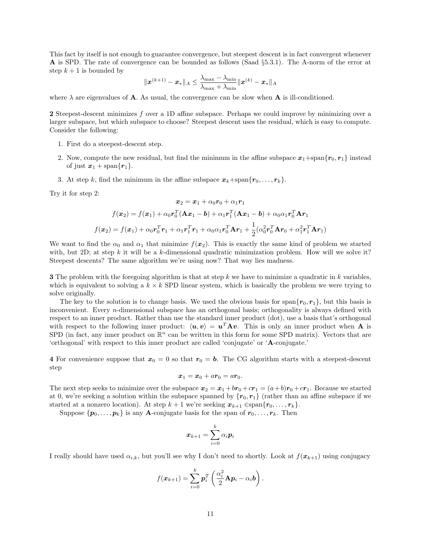This fact by itself is not enough to guarantee convergence, but steepest descent is in fact convergent whenever A is SPD. The rate of convergence can be bounded as follows (Saad §5.3.1). The A-norm of the error at step  $k + 1$  is bounded by

$$
\|\boldsymbol{x}^{(k+1)}-\boldsymbol{x}_*\|_A\leq \frac{\lambda_{\max}-\lambda_{\min}}{\lambda_{\max}+\lambda_{\min}}\|\boldsymbol{x}^{(k)}-\boldsymbol{x}_*\|_A
$$

where  $\lambda$  are eigenvalues of **A**. As usual, the convergence can be slow when **A** is ill-conditioned.

2 Steepest-descent minimizes f over a 1D affine subspace. Perhaps we could improve by minimizing over a larger subspace, but which subspace to choose? Steepest descent uses the residual, which is easy to compute. Consider the following:

- 1. First do a steepest-descent step.
- 2. Now, compute the new residual, but find the minimum in the affine subspace  $x_1 + \text{span}\{r_0, r_1\}$  instead of just  $x_1 + \text{span}\{r_1\}.$
- 3. At step k, find the minimum in the affine subspace  $x_k + \text{span}\{r_0, \ldots, r_k\}$ .

Try it for step 2:

$$
\boldsymbol{x}_2 = \boldsymbol{x}_1 + \alpha_0 \boldsymbol{r}_0 + \alpha_1 \boldsymbol{r}_1
$$

$$
f(\boldsymbol{x}_2) = f(\boldsymbol{x}_1) + \alpha_0 \boldsymbol{r}_0^T (\mathbf{A}\boldsymbol{x}_1 - \boldsymbol{b}) + \alpha_1 \boldsymbol{r}_1^T (\mathbf{A}\boldsymbol{x}_1 - \boldsymbol{b}) + \alpha_0 \alpha_1 \boldsymbol{r}_0^T \mathbf{A} \boldsymbol{r}_1
$$

$$
f(\boldsymbol{x}_2) = f(\boldsymbol{x}_1) + \alpha_0 \boldsymbol{r}_0^T \boldsymbol{r}_1 + \alpha_1 \boldsymbol{r}_1^T \boldsymbol{r}_1 + \alpha_0 \alpha_1 \boldsymbol{r}_0^T \mathbf{A} \boldsymbol{r}_1 + \frac{1}{2} (\alpha_0^2 \boldsymbol{r}_0^T \mathbf{A} \boldsymbol{r}_0 + \alpha_1^2 \boldsymbol{r}_1^T \mathbf{A} \boldsymbol{r}_1)
$$

We want to find the  $\alpha_0$  and  $\alpha_1$  that minimize  $f(x_2)$ . This is exactly the same kind of problem we started with, but 2D; at step k it will be a k-dimensional quadratic minimization problem. How will we solve it? Steepest descents? The same algorithm we're using now? That way lies madness.

**3** The problem with the foregoing algorithm is that at step k we have to minimize a quadratic in k variables, which is equivalent to solving a  $k \times k$  SPD linear system, which is basically the problem we were trying to solve originally.

The key to the solution is to change basis. We used the obvious basis for span $\{r_0, r_1\}$ , but this basis is inconvenient. Every n-dimensional subspace has an orthogonal basis; orthogonality is always defined with respect to an inner product. Rather than use the standard inner product (dot), use a basis that's orthogonal with respect to the following inner product:  $\langle u, v \rangle = u^T A v$ . This is only an inner product when A is SPD (in fact, any inner product on  $\mathbb{R}^n$  can be written in this form for some SPD matrix). Vectors that are 'orthogonal' with respect to this inner product are called 'conjugate' or 'A-conjugate.'

4 For convenience suppose that  $x_0 = 0$  so that  $r_0 = b$ . The CG algorithm starts with a steepest-descent step

$$
x_1 = x_0 + ar_0 = ar_0.
$$

The next step seeks to minimize over the subspace  $x_2 = x_1 + br_0 + cr_1 = (a+b)r_0 + cr_1$ . Because we started at 0, we're seeking a solution within the subspace spanned by  $\{r_0, r_1\}$  (rather than an affine subspace if we started at a nonzero location). At step  $k + 1$  we're seeking  $x_{k+1} \in \text{span}\{r_0, \ldots, r_k\}.$ 

Suppose  $\{p_0, \ldots, p_k\}$  is any **A**-conjugate basis for the span of  $r_0, \ldots, r_k$ . Then

$$
\bm{x}_{k+1} = \sum_{i=0}^k \alpha_i \bm{p}_i
$$

I really should have used  $\alpha_{i,k}$ , but you'll see why I don't need to shortly. Look at  $f(\mathbf{x}_{k+1})$  using conjugacy

$$
f(\boldsymbol{x}_{k+1}) = \sum_{i=0}^{k} \boldsymbol{p}_i^T \left( \frac{\alpha_i^2}{2} \mathbf{A} \boldsymbol{p}_i - \alpha_i \boldsymbol{b} \right).
$$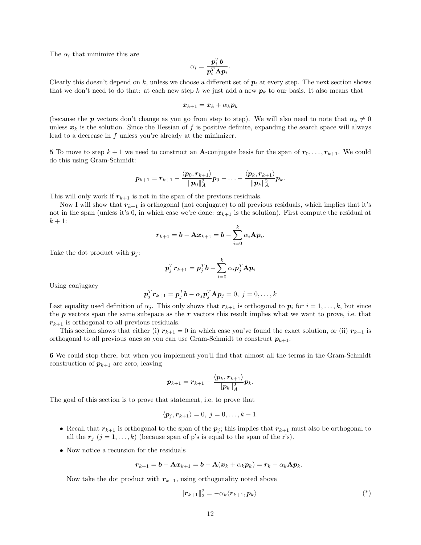The  $\alpha_i$  that minimize this are

$$
\alpha_i = \frac{\boldsymbol{p}_i^T \boldsymbol{b}}{\boldsymbol{p}_i^T \mathbf{A} \boldsymbol{p}_i}.
$$

Clearly this doesn't depend on k, unless we choose a different set of  $p_i$  at every step. The next section shows that we don't need to do that: at each new step k we just add a new  $p_k$  to our basis. It also means that

$$
\boldsymbol{x}_{k+1} = \boldsymbol{x}_k + \alpha_k \boldsymbol{p}_k
$$

(because the **p** vectors don't change as you go from step to step). We will also need to note that  $\alpha_k \neq 0$ unless  $x_k$  is the solution. Since the Hessian of f is positive definite, expanding the search space will always lead to a decrease in  $f$  unless you're already at the minimizer.

5 To move to step  $k+1$  we need to construct an **A**-conjugate basis for the span of  $r_0, \ldots, r_{k+1}$ . We could do this using Gram-Schmidt:

$$
\bm{p}_{k+1} = \bm{r}_{k+1} - \frac{\langle \bm{p}_0, \bm{r}_{k+1} \rangle}{\|\bm{p}_0\|_A^2} \bm{p}_0 - \ldots - \frac{\langle \bm{p}_k, \bm{r}_{k+1} \rangle}{\|\bm{p}_k\|_A^2} \bm{p}_k.
$$

This will only work if  $r_{k+1}$  is not in the span of the previous residuals.

Now I will show that  $r_{k+1}$  is orthogonal (not conjugate) to all previous residuals, which implies that it's not in the span (unless it's 0, in which case we're done:  $x_{k+1}$  is the solution). First compute the residual at  $k+1$ :

$$
r_{k+1} = b - \mathbf{A} x_{k+1} = b - \sum_{i=0}^k \alpha_i \mathbf{A} p_i.
$$

Take the dot product with  $p_j$ :

$$
\boldsymbol{p}_j^T \boldsymbol{r}_{k+1} = \boldsymbol{p}_j^T \boldsymbol{b} - \sum_{i=0}^k \alpha_i \boldsymbol{p}_j^T \mathbf{A} \boldsymbol{p}_i
$$

Using conjugacy

$$
\boldsymbol{p}_j^T \boldsymbol{r}_{k+1} = \boldsymbol{p}_j^T \boldsymbol{b} - \alpha_j \boldsymbol{p}_j^T \mathbf{A} \boldsymbol{p}_j = 0, \ j = 0, \ldots, k
$$

Last equality used definition of  $\alpha_j$ . This only shows that  $r_{k+1}$  is orthogonal to  $p_i$  for  $i = 1, \ldots, k$ , but since the  $p$  vectors span the same subspace as the  $r$  vectors this result implies what we want to prove, i.e. that  $r_{k+1}$  is orthogonal to all previous residuals.

This section shows that either (i)  $r_{k+1} = 0$  in which case you've found the exact solution, or (ii)  $r_{k+1}$  is orthogonal to all previous ones so you can use Gram-Schmidt to construct  $p_{k+1}$ .

6 We could stop there, but when you implement you'll find that almost all the terms in the Gram-Schmidt construction of  $p_{k+1}$  are zero, leaving

$$
\boldsymbol{p}_{k+1} = \boldsymbol{r}_{k+1} - \frac{\langle \boldsymbol{p}_k, \boldsymbol{r}_{k+1}\rangle}{\|\boldsymbol{p}_k\|_A^2} \boldsymbol{p}_k.
$$

The goal of this section is to prove that statement, i.e. to prove that

$$
\langle \boldsymbol{p}_j, \boldsymbol{r}_{k+1} \rangle = 0, \ j = 0, \ldots, k-1.
$$

- Recall that  $r_{k+1}$  is orthogonal to the span of the  $p_j$ ; this implies that  $r_{k+1}$  must also be orthogonal to all the  $r_j$   $(j = 1, ..., k)$  (because span of p's is equal to the span of the r's).
- Now notice a recursion for the residuals

$$
\boldsymbol{r}_{k+1} = \boldsymbol{b} - \mathbf{A}\boldsymbol{x}_{k+1} = \boldsymbol{b} - \mathbf{A}(\boldsymbol{x}_k + \alpha_k \boldsymbol{p}_k) = \boldsymbol{r}_k - \alpha_k \mathbf{A}\boldsymbol{p}_k.
$$

Now take the dot product with  $r_{k+1}$ , using orthogonality noted above

$$
\|\boldsymbol{r}_{k+1}\|_2^2 = -\alpha_k \langle \boldsymbol{r}_{k+1}, \boldsymbol{p}_k \rangle \tag{*}
$$